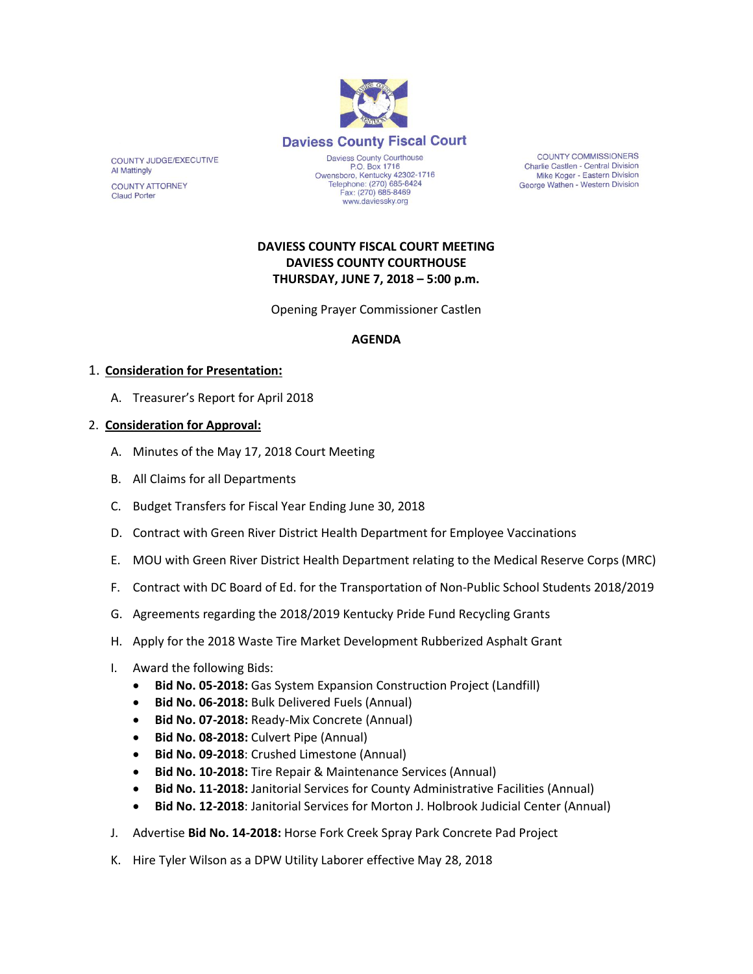

COUNTY JUDGE/EXECUTIVE **Al Mattingly COUNTY ATTORNEY Claud Porter** 

Daviess County Courthouse P.O. Box 1716 Owensboro, Kentucky 42302-1716 Telephone: (270) 685-8424<br>Fax: (270) 685-8469 www.daviessky.org

**COUNTY COMMISSIONERS** Charlie Castlen - Central Division Mike Koger - Eastern Division George Wathen - Western Division

# **DAVIESS COUNTY FISCAL COURT MEETING DAVIESS COUNTY COURTHOUSE THURSDAY, JUNE 7, 2018 – 5:00 p.m.**

Opening Prayer Commissioner Castlen

### **AGENDA**

### 1. **Consideration for Presentation:**

A. Treasurer's Report for April 2018

### 2. **Consideration for Approval:**

- A. Minutes of the May 17, 2018 Court Meeting
- B. All Claims for all Departments
- C. Budget Transfers for Fiscal Year Ending June 30, 2018
- D. Contract with Green River District Health Department for Employee Vaccinations
- E. MOU with Green River District Health Department relating to the Medical Reserve Corps (MRC)
- F. Contract with DC Board of Ed. for the Transportation of Non-Public School Students 2018/2019
- G. Agreements regarding the 2018/2019 Kentucky Pride Fund Recycling Grants
- H. Apply for the 2018 Waste Tire Market Development Rubberized Asphalt Grant
- I. Award the following Bids:
	- **Bid No. 05-2018:** Gas System Expansion Construction Project (Landfill)
	- **Bid No. 06-2018:** Bulk Delivered Fuels (Annual)
	- **Bid No. 07-2018:** Ready-Mix Concrete (Annual)
	- **Bid No. 08-2018:** Culvert Pipe (Annual)
	- **Bid No. 09-2018**: Crushed Limestone (Annual)
	- **Bid No. 10-2018:** Tire Repair & Maintenance Services (Annual)
	- **Bid No. 11-2018:** Janitorial Services for County Administrative Facilities (Annual)
	- **Bid No. 12-2018**: Janitorial Services for Morton J. Holbrook Judicial Center (Annual)
- J. Advertise **Bid No. 14-2018:** Horse Fork Creek Spray Park Concrete Pad Project
- K. Hire Tyler Wilson as a DPW Utility Laborer effective May 28, 2018